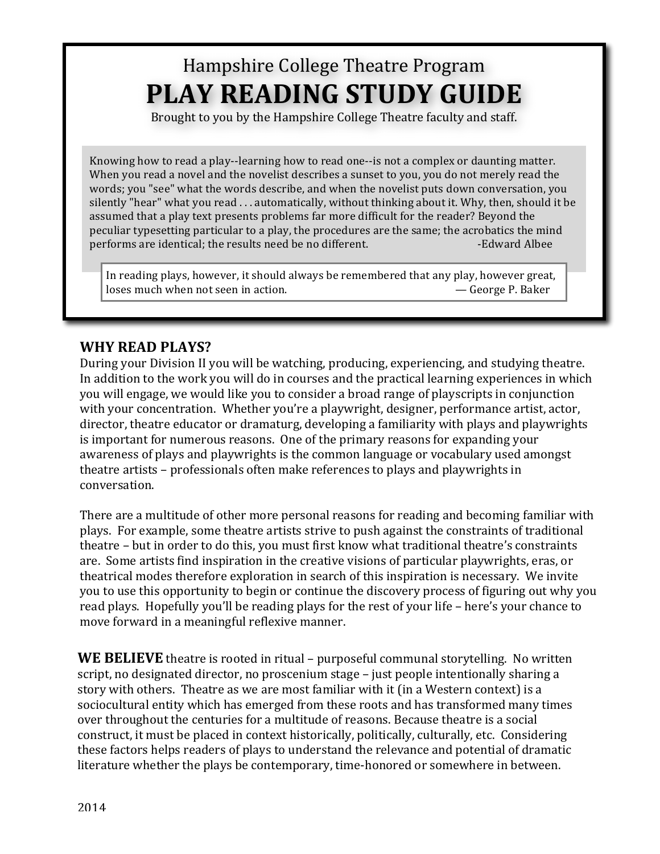# Hampshire College Theatre Program **PLAY READING STUDY GUIDE**

Brought to you by the Hampshire College Theatre faculty and staff.

Knowing how to read a play--learning how to read one--is not a complex or daunting matter. When you read a novel and the novelist describes a sunset to you, you do not merely read the words; you "see" what the words describe, and when the novelist puts down conversation, you silently "hear" what you read ... automatically, without thinking about it. Why, then, should it be assumed that a play text presents problems far more difficult for the reader? Beyond the peculiar typesetting particular to a play, the procedures are the same; the acrobatics the mind performs are identical; the results need be no different. The set of the set of Albee

In reading plays, however, it should always be remembered that any play, however great, loses much when not seen in action. **Example 20** and  $\sim$  George P. Baker

#### **WHY READ PLAYS?**

During your Division II you will be watching, producing, experiencing, and studying theatre. In addition to the work you will do in courses and the practical learning experiences in which you will engage, we would like you to consider a broad range of playscripts in conjunction with your concentration. Whether you're a playwright, designer, performance artist, actor, director, theatre educator or dramaturg, developing a familiarity with plays and playwrights is important for numerous reasons. One of the primary reasons for expanding your awareness of plays and playwrights is the common language or vocabulary used amongst theatre artists – professionals often make references to plays and playwrights in conversation. 

There are a multitude of other more personal reasons for reading and becoming familiar with plays. For example, some theatre artists strive to push against the constraints of traditional theatre – but in order to do this, you must first know what traditional theatre's constraints are. Some artists find inspiration in the creative visions of particular playwrights, eras, or theatrical modes therefore exploration in search of this inspiration is necessary. We invite you to use this opportunity to begin or continue the discovery process of figuring out why you read plays. Hopefully you'll be reading plays for the rest of your life – here's your chance to move forward in a meaningful reflexive manner.

**WE BELIEVE** theatre is rooted in ritual – purposeful communal storytelling. No written script, no designated director, no proscenium stage – just people intentionally sharing a story with others. Theatre as we are most familiar with it (in a Western context) is a sociocultural entity which has emerged from these roots and has transformed many times over throughout the centuries for a multitude of reasons. Because theatre is a social construct, it must be placed in context historically, politically, culturally, etc. Considering these factors helps readers of plays to understand the relevance and potential of dramatic literature whether the plays be contemporary, time-honored or somewhere in between.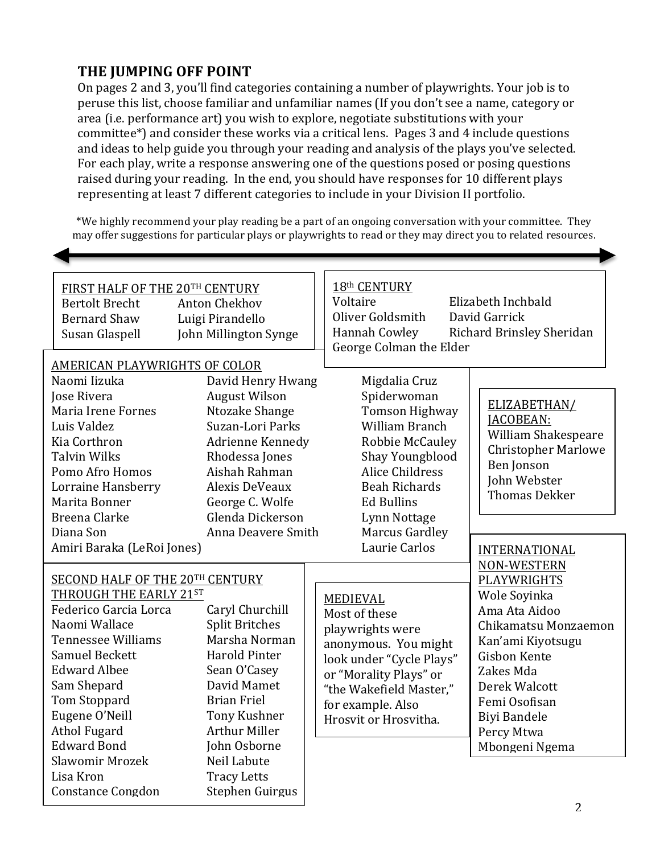### **THE IUMPING OFF POINT**

On pages 2 and 3, you'll find categories containing a number of playwrights. Your job is to peruse this list, choose familiar and unfamiliar names (If you don't see a name, category or area (i.e. performance art) you wish to explore, negotiate substitutions with your committee\*) and consider these works via a critical lens. Pages 3 and 4 include questions and ideas to help guide you through your reading and analysis of the plays you've selected. For each play, write a response answering one of the questions posed or posing questions raised during your reading. In the end, you should have responses for 10 different plays representing at least 7 different categories to include in your Division II portfolio.

\*We highly recommend your play reading be a part of an ongoing conversation with your committee. They may offer suggestions for particular plays or playwrights to read or they may direct you to related resources.

| FIRST HALF OF THE 20TH CENTURY<br><b>Bertolt Brecht</b><br><b>Bernard Shaw</b><br>Susan Glaspell                                                                                                                                     | <b>Anton Chekhov</b><br>Luigi Pirandello<br>John Millington Synge                                                                                                                                                                        |  | 18th CENTURY<br>Voltaire<br>Elizabeth Inchbald<br>Oliver Goldsmith<br>David Garrick<br>Richard Brinsley Sheridan<br>Hannah Cowley<br>George Colman the Elder                                         |                                                                                                                                                                                                                                       |
|--------------------------------------------------------------------------------------------------------------------------------------------------------------------------------------------------------------------------------------|------------------------------------------------------------------------------------------------------------------------------------------------------------------------------------------------------------------------------------------|--|------------------------------------------------------------------------------------------------------------------------------------------------------------------------------------------------------|---------------------------------------------------------------------------------------------------------------------------------------------------------------------------------------------------------------------------------------|
| <b>AMERICAN PLAYWRIGHTS OF COLOR</b>                                                                                                                                                                                                 |                                                                                                                                                                                                                                          |  |                                                                                                                                                                                                      |                                                                                                                                                                                                                                       |
| Naomi Iizuka                                                                                                                                                                                                                         | David Henry Hwang                                                                                                                                                                                                                        |  | Migdalia Cruz                                                                                                                                                                                        |                                                                                                                                                                                                                                       |
| Jose Rivera                                                                                                                                                                                                                          | <b>August Wilson</b>                                                                                                                                                                                                                     |  | Spiderwoman                                                                                                                                                                                          | ELIZABETHAN/                                                                                                                                                                                                                          |
| Maria Irene Fornes                                                                                                                                                                                                                   | Ntozake Shange                                                                                                                                                                                                                           |  | <b>Tomson Highway</b>                                                                                                                                                                                | JACOBEAN:<br>William Shakespeare<br><b>Christopher Marlowe</b><br>Ben Jonson<br>John Webster<br><b>Thomas Dekker</b>                                                                                                                  |
| Luis Valdez                                                                                                                                                                                                                          | Suzan-Lori Parks                                                                                                                                                                                                                         |  | <b>William Branch</b>                                                                                                                                                                                |                                                                                                                                                                                                                                       |
| Kia Corthron                                                                                                                                                                                                                         | Adrienne Kennedy                                                                                                                                                                                                                         |  | Robbie McCauley                                                                                                                                                                                      |                                                                                                                                                                                                                                       |
| <b>Talvin Wilks</b>                                                                                                                                                                                                                  | Rhodessa Jones                                                                                                                                                                                                                           |  | Shay Youngblood                                                                                                                                                                                      |                                                                                                                                                                                                                                       |
| Pomo Afro Homos                                                                                                                                                                                                                      | Aishah Rahman                                                                                                                                                                                                                            |  | <b>Alice Childress</b>                                                                                                                                                                               |                                                                                                                                                                                                                                       |
| Lorraine Hansberry                                                                                                                                                                                                                   | Alexis DeVeaux                                                                                                                                                                                                                           |  | <b>Beah Richards</b>                                                                                                                                                                                 |                                                                                                                                                                                                                                       |
| Marita Bonner                                                                                                                                                                                                                        | George C. Wolfe                                                                                                                                                                                                                          |  | <b>Ed Bullins</b>                                                                                                                                                                                    |                                                                                                                                                                                                                                       |
| <b>Breena Clarke</b>                                                                                                                                                                                                                 | Glenda Dickerson                                                                                                                                                                                                                         |  | Lynn Nottage                                                                                                                                                                                         |                                                                                                                                                                                                                                       |
| Diana Son                                                                                                                                                                                                                            | Anna Deavere Smith                                                                                                                                                                                                                       |  | Marcus Gardley                                                                                                                                                                                       |                                                                                                                                                                                                                                       |
| Amiri Baraka (LeRoi Jones)                                                                                                                                                                                                           |                                                                                                                                                                                                                                          |  | Laurie Carlos                                                                                                                                                                                        | <b>INTERNATIONAL</b>                                                                                                                                                                                                                  |
| THROUGH THE EARLY 21ST<br>Federico Garcia Lorca<br>Naomi Wallace<br><b>Tennessee Williams</b><br>Samuel Beckett<br><b>Edward Albee</b><br>Sam Shepard<br>Tom Stoppard<br>Eugene O'Neill<br><b>Athol Fugard</b><br><b>Edward Bond</b> | SECOND HALF OF THE 20TH CENTURY<br>Caryl Churchill<br><b>Split Britches</b><br>Marsha Norman<br><b>Harold Pinter</b><br>Sean O'Casey<br>David Mamet<br><b>Brian Friel</b><br><b>Tony Kushner</b><br><b>Arthur Miller</b><br>John Osborne |  | MEDIEVAL<br>Most of these<br>playwrights were<br>anonymous. You might<br>look under "Cycle Plays"<br>or "Morality Plays" or<br>"the Wakefield Master,"<br>for example. Also<br>Hrosvit or Hrosvitha. | <b>NON-WESTERN</b><br>PLAYWRIGHTS<br>Wole Soyinka<br>Ama Ata Aidoo<br>Chikamatsu Monzaemon<br>Kan'ami Kiyotsugu<br>Gisbon Kente<br>Zakes Mda<br>Derek Walcott<br>Femi Osofisan<br><b>Biyi Bandele</b><br>Percy Mtwa<br>Mbongeni Ngema |
| Slawomir Mrozek                                                                                                                                                                                                                      | Neil Labute                                                                                                                                                                                                                              |  |                                                                                                                                                                                                      |                                                                                                                                                                                                                                       |
| Lisa Kron                                                                                                                                                                                                                            | <b>Tracy Letts</b>                                                                                                                                                                                                                       |  |                                                                                                                                                                                                      |                                                                                                                                                                                                                                       |
| <b>Constance Congdon</b>                                                                                                                                                                                                             | Stephen Guirgus                                                                                                                                                                                                                          |  |                                                                                                                                                                                                      |                                                                                                                                                                                                                                       |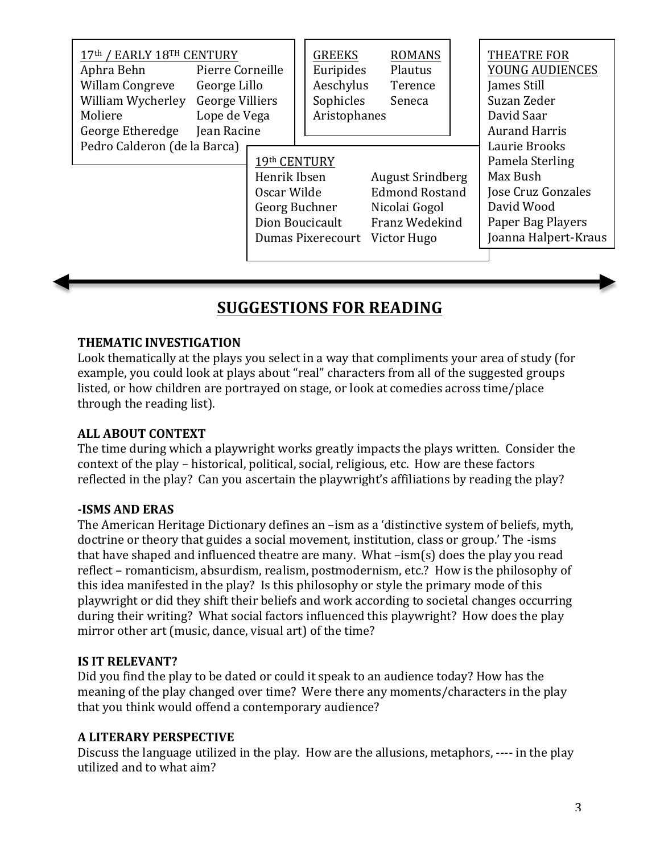| 17th / EARLY 18TH CENTURY<br>Aphra Behn<br><b>Willam Congreve</b><br>William Wycherley<br>Moliere<br>George Etheredge<br>Pedro Calderon (de la Barca) | Pierre Corneille<br>George Lillo<br><b>George Villiers</b><br>Lope de Vega<br>Jean Racine | 19th CENTURY<br>Henrik Ibsen<br>Oscar Wilde | <b>GREEKS</b><br>Euripides<br>Aeschylus<br>Sophicles<br>Aristophanes | <b>ROMANS</b><br>Plautus<br>Terence<br>Seneca<br><b>August Srindberg</b><br><b>Edmond Rostand</b><br>Nicolai Gogol | <b>THEATRE FOR</b><br>YOUNG AUDIENCES<br>James Still<br>Suzan Zeder<br>David Saar<br><b>Aurand Harris</b><br>Laurie Brooks<br>Pamela Sterling<br>Max Bush<br>Jose Cruz Gonzales<br>David Wood |
|-------------------------------------------------------------------------------------------------------------------------------------------------------|-------------------------------------------------------------------------------------------|---------------------------------------------|----------------------------------------------------------------------|--------------------------------------------------------------------------------------------------------------------|-----------------------------------------------------------------------------------------------------------------------------------------------------------------------------------------------|
| Georg Buchner<br>Dion Boucicault                                                                                                                      |                                                                                           |                                             | Franz Wedekind                                                       |                                                                                                                    |                                                                                                                                                                                               |
|                                                                                                                                                       |                                                                                           |                                             | Dumas Pixerecourt                                                    | Victor Hugo                                                                                                        | Paper Bag Players<br>Joanna Halpert-Kraus                                                                                                                                                     |
|                                                                                                                                                       |                                                                                           |                                             |                                                                      |                                                                                                                    |                                                                                                                                                                                               |

## **SUGGESTIONS FOR READING**

#### **THEMATIC INVESTIGATION**

Look thematically at the plays you select in a way that compliments your area of study (for example, you could look at plays about "real" characters from all of the suggested groups listed, or how children are portrayed on stage, or look at comedies across time/place through the reading list).

#### **ALL ABOUT CONTEXT**

The time during which a playwright works greatly impacts the plays written. Consider the context of the play – historical, political, social, religious, etc. How are these factors reflected in the play? Can you ascertain the playwright's affiliations by reading the play?

#### **-ISMS AND ERAS**

The American Heritage Dictionary defines an –ism as a 'distinctive system of beliefs, myth, doctrine or theory that guides a social movement, institution, class or group.' The -isms that have shaped and influenced theatre are many. What  $-\text{ism(s)}$  does the play you read reflect – romanticism, absurdism, realism, postmodernism, etc.? How is the philosophy of this idea manifested in the play? Is this philosophy or style the primary mode of this playwright or did they shift their beliefs and work according to societal changes occurring during their writing? What social factors influenced this playwright? How does the play mirror other art (music, dance, visual art) of the time?

#### **IS IT RELEVANT?**

Did you find the play to be dated or could it speak to an audience today? How has the meaning of the play changed over time? Were there any moments/characters in the play that you think would offend a contemporary audience?

#### **A LITERARY PERSPECTIVE**

Discuss the language utilized in the play. How are the allusions, metaphors, ---- in the play utilized and to what aim?